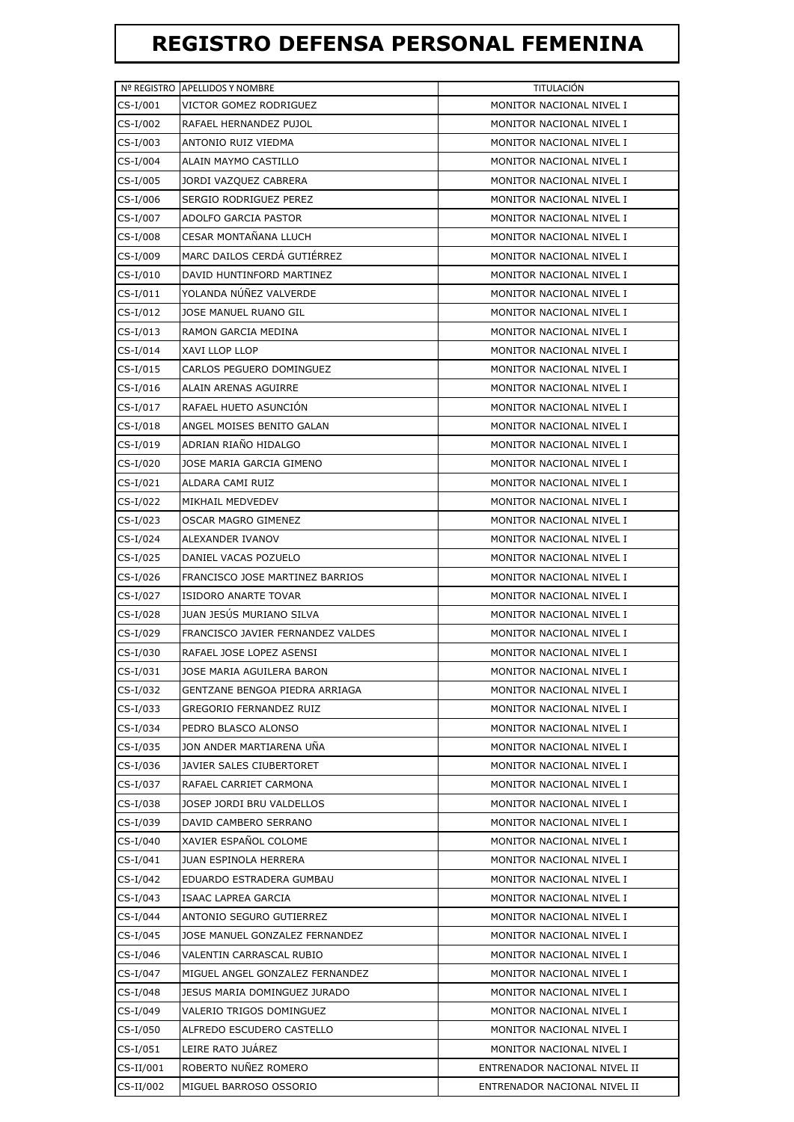## **REGISTRO DEFENSA PERSONAL FEMENINA**

|            | Nº REGISTRO APELLIDOS Y NOMBRE    | TITULACIÓN                   |
|------------|-----------------------------------|------------------------------|
| $CS-I/001$ | VICTOR GOMEZ RODRIGUEZ            | MONITOR NACIONAL NIVEL I     |
| CS-I/002   | RAFAEL HERNANDEZ PUJOL            | MONITOR NACIONAL NIVEL I     |
| CS-I/003   | ANTONIO RUIZ VIEDMA               | MONITOR NACIONAL NIVEL I     |
| CS-I/004   | ALAIN MAYMO CASTILLO              | MONITOR NACIONAL NIVEL I     |
| CS-I/005   | JORDI VAZQUEZ CABRERA             | MONITOR NACIONAL NIVEL I     |
| CS-I/006   | SERGIO RODRIGUEZ PEREZ            | MONITOR NACIONAL NIVEL I     |
| CS-I/007   | ADOLFO GARCIA PASTOR              | MONITOR NACIONAL NIVEL I     |
| CS-I/008   | CESAR MONTAÑANA LLUCH             | MONITOR NACIONAL NIVEL I     |
| CS-I/009   | MARC DAILOS CERDÁ GUTIÉRREZ       | MONITOR NACIONAL NIVEL I     |
| CS-I/010   | DAVID HUNTINFORD MARTINEZ         | MONITOR NACIONAL NIVEL I     |
| CS-I/011   | YOLANDA NÚÑEZ VALVERDE            | MONITOR NACIONAL NIVEL I     |
| CS-I/012   | JOSE MANUEL RUANO GIL             | MONITOR NACIONAL NIVEL I     |
| CS-I/013   | RAMON GARCIA MEDINA               | MONITOR NACIONAL NIVEL I     |
| CS-I/014   | XAVI LLOP LLOP                    | MONITOR NACIONAL NIVEL I     |
| CS-I/015   | CARLOS PEGUERO DOMINGUEZ          | MONITOR NACIONAL NIVEL I     |
| CS-I/016   | ALAIN ARENAS AGUIRRE              | MONITOR NACIONAL NIVEL I     |
| CS-I/017   | RAFAEL HUETO ASUNCIÓN             | MONITOR NACIONAL NIVEL I     |
| CS-I/018   | ANGEL MOISES BENITO GALAN         | MONITOR NACIONAL NIVEL I     |
| CS-I/019   | ADRIAN RIAÑO HIDALGO              | MONITOR NACIONAL NIVEL I     |
| CS-I/020   | JOSE MARIA GARCIA GIMENO          | MONITOR NACIONAL NIVEL I     |
| CS-I/021   | ALDARA CAMI RUIZ                  | MONITOR NACIONAL NIVEL I     |
| CS-I/022   | MIKHAIL MEDVEDEV                  | MONITOR NACIONAL NIVEL I     |
| CS-I/023   | OSCAR MAGRO GIMENEZ               | MONITOR NACIONAL NIVEL I     |
| CS-I/024   | ALEXANDER IVANOV                  | MONITOR NACIONAL NIVEL I     |
| CS-I/025   | DANIEL VACAS POZUELO              | MONITOR NACIONAL NIVEL I     |
| CS-I/026   | FRANCISCO JOSE MARTINEZ BARRIOS   | MONITOR NACIONAL NIVEL I     |
| CS-I/027   | <b>ISIDORO ANARTE TOVAR</b>       | MONITOR NACIONAL NIVEL I     |
| CS-I/028   | JUAN JESUS MURIANO SILVA          | MONITOR NACIONAL NIVEL I     |
| CS-I/029   | FRANCISCO JAVIER FERNANDEZ VALDES | MONITOR NACIONAL NIVEL I     |
| CS-I/030   | RAFAEL JOSE LOPEZ ASENSI          | MONITOR NACIONAL NIVEL I     |
| CS-I/031   | JOSE MARIA AGUILERA BARON         | MONITOR NACIONAL NIVEL I     |
| CS-I/032   | GENTZANE BENGOA PIEDRA ARRIAGA    | MONITOR NACIONAL NIVEL I     |
| CS-I/033   | GREGORIO FERNANDEZ RUIZ           | MONITOR NACIONAL NIVEL I     |
| CS-I/034   | PEDRO BLASCO ALONSO               | MONITOR NACIONAL NIVEL I     |
| CS-I/035   | JON ANDER MARTIARENA UÑA          | MONITOR NACIONAL NIVEL I     |
| CS-I/036   | JAVIER SALES CIUBERTORET          | MONITOR NACIONAL NIVEL I     |
| CS-I/037   | RAFAEL CARRIET CARMONA            | MONITOR NACIONAL NIVEL I     |
| CS-I/038   | JOSEP JORDI BRU VALDELLOS         | MONITOR NACIONAL NIVEL I     |
| CS-I/039   | DAVID CAMBERO SERRANO             | MONITOR NACIONAL NIVEL I     |
| CS-I/040   | XAVIER ESPAÑOL COLOME             | MONITOR NACIONAL NIVEL I     |
| CS-I/041   | JUAN ESPINOLA HERRERA             | MONITOR NACIONAL NIVEL I     |
| CS-I/042   | EDUARDO ESTRADERA GUMBAU          | MONITOR NACIONAL NIVEL I     |
| CS-I/043   | ISAAC LAPREA GARCIA               | MONITOR NACIONAL NIVEL I     |
| CS-I/044   | ANTONIO SEGURO GUTIERREZ          | MONITOR NACIONAL NIVEL I     |
| CS-I/045   | JOSE MANUEL GONZALEZ FERNANDEZ    | MONITOR NACIONAL NIVEL I     |
| CS-I/046   | VALENTIN CARRASCAL RUBIO          | MONITOR NACIONAL NIVEL I     |
| CS-I/047   | MIGUEL ANGEL GONZALEZ FERNANDEZ   | MONITOR NACIONAL NIVEL I     |
| CS-I/048   | JESUS MARIA DOMINGUEZ JURADO      | MONITOR NACIONAL NIVEL I     |
| CS-I/049   | VALERIO TRIGOS DOMINGUEZ          | MONITOR NACIONAL NIVEL I     |
| CS-I/050   | ALFREDO ESCUDERO CASTELLO         | MONITOR NACIONAL NIVEL I     |
| CS-I/051   | LEIRE RATO JUÁREZ                 | MONITOR NACIONAL NIVEL I     |
| CS-II/001  | ROBERTO NUÑEZ ROMERO              | ENTRENADOR NACIONAL NIVEL II |
| CS-II/002  | MIGUEL BARROSO OSSORIO            | ENTRENADOR NACIONAL NIVEL II |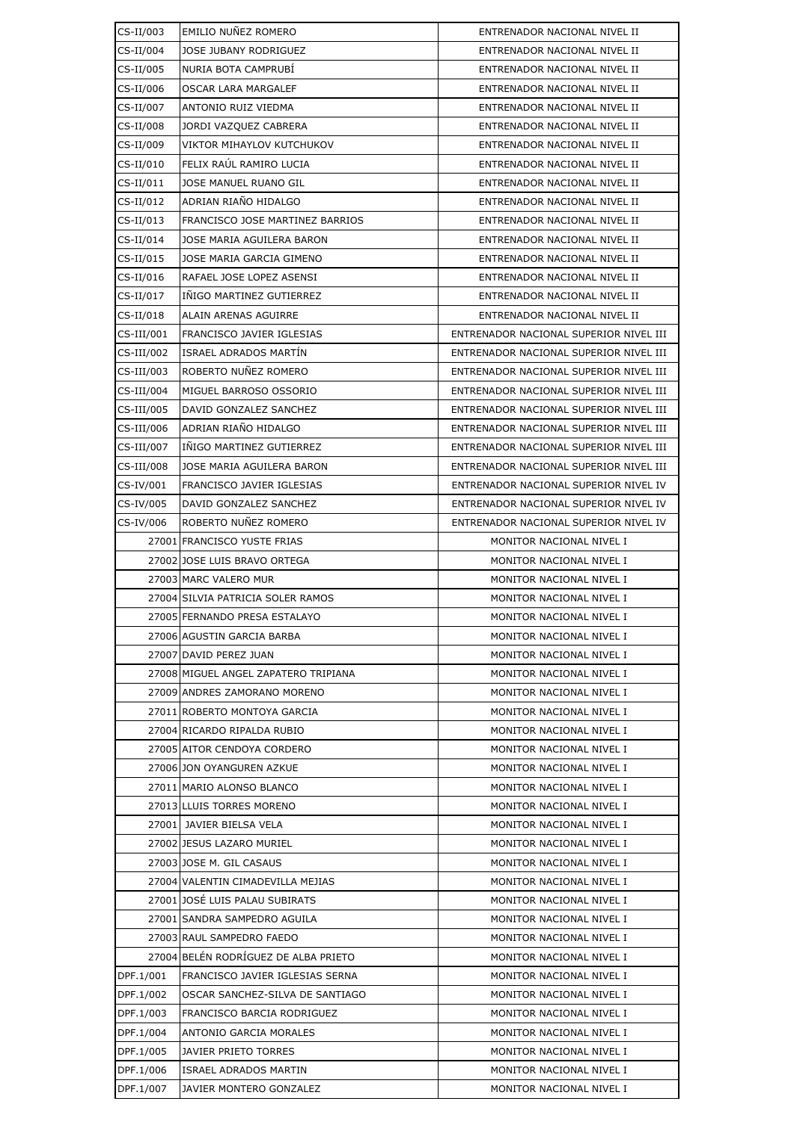| CS-II/003  | EMILIO NUNEZ ROMERO                  | ENTRENADOR NACIONAL NIVEL II           |
|------------|--------------------------------------|----------------------------------------|
| CS-II/004  | JOSE JUBANY RODRIGUEZ                | ENTRENADOR NACIONAL NIVEL II           |
| CS-II/005  | NURIA BOTA CAMPRUBI                  | ENTRENADOR NACIONAL NIVEL II           |
| CS-II/006  | OSCAR LARA MARGALEF                  | ENTRENADOR NACIONAL NIVEL II           |
| CS-II/007  | ANTONIO RUIZ VIEDMA                  | ENTRENADOR NACIONAL NIVEL II           |
| CS-II/008  | JORDI VAZQUEZ CABRERA                | ENTRENADOR NACIONAL NIVEL II           |
| CS-II/009  | VIKTOR MIHAYLOV KUTCHUKOV            | ENTRENADOR NACIONAL NIVEL II           |
| CS-II/010  | FELIX RAÚL RAMIRO LUCIA              | ENTRENADOR NACIONAL NIVEL II           |
| CS-II/011  | JOSE MANUEL RUANO GIL                | ENTRENADOR NACIONAL NIVEL II           |
| CS-II/012  | ADRIAN RIAÑO HIDALGO                 | ENTRENADOR NACIONAL NIVEL II           |
| CS-II/013  | FRANCISCO JOSE MARTINEZ BARRIOS      | ENTRENADOR NACIONAL NIVEL II           |
| CS-II/014  | JOSE MARIA AGUILERA BARON            | ENTRENADOR NACIONAL NIVEL II           |
| CS-II/015  | JOSE MARIA GARCIA GIMENO             | ENTRENADOR NACIONAL NIVEL II           |
| CS-II/016  | RAFAEL JOSE LOPEZ ASENSI             | ENTRENADOR NACIONAL NIVEL II           |
| CS-II/017  | INIGO MARTINEZ GUTIERREZ             | ENTRENADOR NACIONAL NIVEL II           |
| CS-II/018  | ALAIN ARENAS AGUIRRE                 | ENTRENADOR NACIONAL NIVEL II           |
| CS-III/001 | FRANCISCO JAVIER IGLESIAS            | ENTRENADOR NACIONAL SUPERIOR NIVEL III |
| CS-III/002 | ISRAEL ADRADOS MARTÍN                | ENTRENADOR NACIONAL SUPERIOR NIVEL III |
| CS-III/003 | ROBERTO NUÑEZ ROMERO                 | ENTRENADOR NACIONAL SUPERIOR NIVEL III |
| CS-III/004 | MIGUEL BARROSO OSSORIO               | ENTRENADOR NACIONAL SUPERIOR NIVEL III |
| CS-III/005 | DAVID GONZALEZ SANCHEZ               | ENTRENADOR NACIONAL SUPERIOR NIVEL III |
| CS-III/006 | ADRIAN RIAÑO HIDALGO                 | ENTRENADOR NACIONAL SUPERIOR NIVEL III |
| CS-III/007 | INIGO MARTINEZ GUTIERREZ             | ENTRENADOR NACIONAL SUPERIOR NIVEL III |
| CS-III/008 | JOSE MARIA AGUILERA BARON            | ENTRENADOR NACIONAL SUPERIOR NIVEL III |
| CS-IV/001  | FRANCISCO JAVIER IGLESIAS            | ENTRENADOR NACIONAL SUPERIOR NIVEL IV  |
| CS-IV/005  | DAVID GONZALEZ SANCHEZ               | ENTRENADOR NACIONAL SUPERIOR NIVEL IV  |
| CS-IV/006  | ROBERTO NUÑEZ ROMERO                 | ENTRENADOR NACIONAL SUPERIOR NIVEL IV  |
|            | 27001 FRANCISCO YUSTE FRIAS          | MONITOR NACIONAL NIVEL I               |
|            | 27002 JOSE LUIS BRAVO ORTEGA         | MONITOR NACIONAL NIVEL I               |
|            | 27003 MARC VALERO MUR                | MONITOR NACIONAL NIVEL I               |
|            | 27004 SILVIA PATRICIA SOLER RAMOS    | MONITOR NACIONAL NIVEL I               |
|            | 27005 FERNANDO PRESA ESTALAYO        | MONITOR NACIONAL NIVEL I               |
|            | 27006 AGUSTIN GARCIA BARBA           | MONITOR NACIONAL NIVEL I               |
|            | 27007 DAVID PEREZ JUAN               | MONITOR NACIONAL NIVEL I               |
|            | 27008 MIGUEL ANGEL ZAPATERO TRIPIANA | MONITOR NACIONAL NIVEL I               |
|            | 27009 ANDRES ZAMORANO MORENO         | MONITOR NACIONAL NIVEL I               |
|            | 27011 ROBERTO MONTOYA GARCIA         | MONITOR NACIONAL NIVEL I               |
|            | 27004 RICARDO RIPALDA RUBIO          | MONITOR NACIONAL NIVEL I               |
|            | 27005 AITOR CENDOYA CORDERO          | MONITOR NACIONAL NIVEL I               |
|            | 27006 JON OYANGUREN AZKUE            | MONITOR NACIONAL NIVEL I               |
|            | 27011 MARIO ALONSO BLANCO            | MONITOR NACIONAL NIVEL I               |
|            | 27013 LLUIS TORRES MORENO            | MONITOR NACIONAL NIVEL I               |
|            | 27001 JAVIER BIELSA VELA             | MONITOR NACIONAL NIVEL I               |
|            | 27002 JESUS LAZARO MURIEL            | MONITOR NACIONAL NIVEL I               |
|            | 27003 JOSE M. GIL CASAUS             | MONITOR NACIONAL NIVEL I               |
|            | 27004 VALENTIN CIMADEVILLA MEJIAS    | MONITOR NACIONAL NIVEL I               |
|            | 27001 JOSÉ LUIS PALAU SUBIRATS       | MONITOR NACIONAL NIVEL I               |
|            | 27001 SANDRA SAMPEDRO AGUILA         | MONITOR NACIONAL NIVEL I               |
|            | 27003 RAUL SAMPEDRO FAEDO            | MONITOR NACIONAL NIVEL I               |
|            | 27004 BELEN RODRIGUEZ DE ALBA PRIETO | MONITOR NACIONAL NIVEL I               |
| DPF.1/001  | FRANCISCO JAVIER IGLESIAS SERNA      | MONITOR NACIONAL NIVEL I               |
| DPF.1/002  | OSCAR SANCHEZ-SILVA DE SANTIAGO      | MONITOR NACIONAL NIVEL I               |
| DPF.1/003  | FRANCISCO BARCIA RODRIGUEZ           | MONITOR NACIONAL NIVEL I               |
| DPF.1/004  | ANTONIO GARCIA MORALES               | MONITOR NACIONAL NIVEL I               |
| DPF.1/005  | JAVIER PRIETO TORRES                 | MONITOR NACIONAL NIVEL I               |
| DPF.1/006  | <b>ISRAEL ADRADOS MARTIN</b>         | MONITOR NACIONAL NIVEL I               |
| DPF.1/007  | JAVIER MONTERO GONZALEZ              | MONITOR NACIONAL NIVEL I               |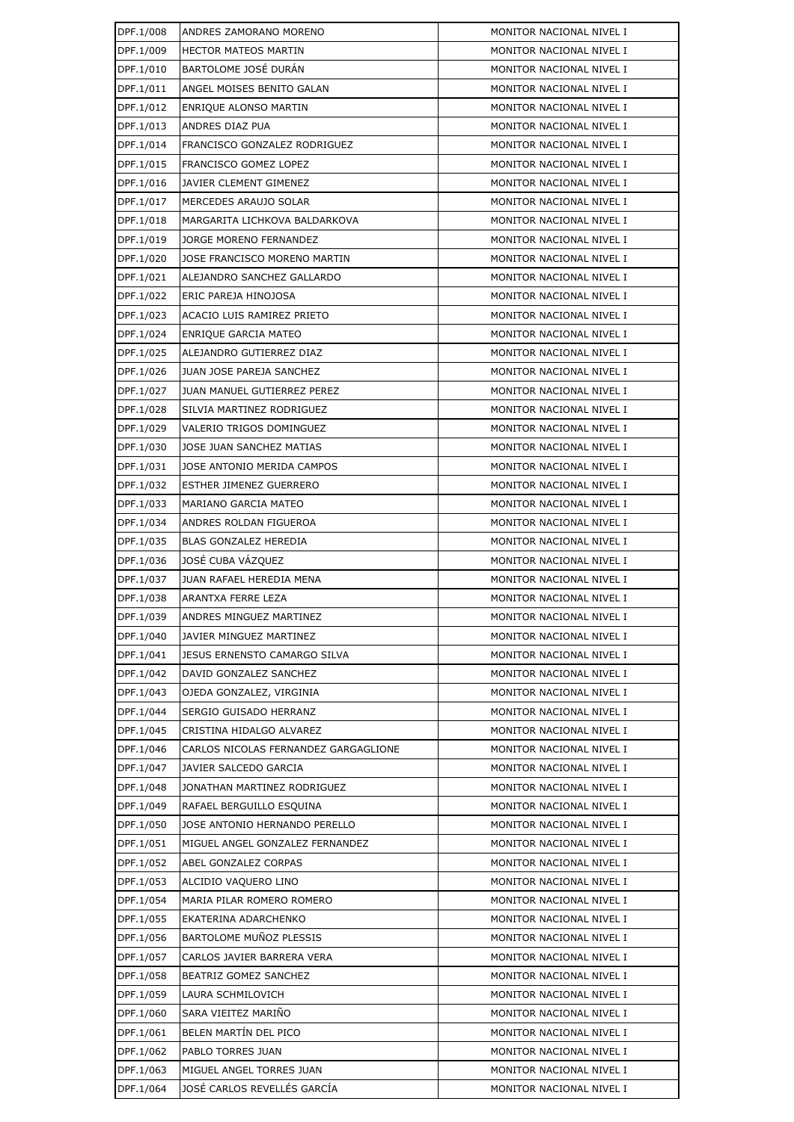| DPF.1/008              | ANDRES ZAMORANO MORENO                            | MONITOR NACIONAL NIVEL I                             |
|------------------------|---------------------------------------------------|------------------------------------------------------|
| DPF.1/009              | <b>HECTOR MATEOS MARTIN</b>                       | MONITOR NACIONAL NIVEL I                             |
| DPF.1/010              | BARTOLOME JOSÉ DURÁN                              | MONITOR NACIONAL NIVEL I                             |
| DPF.1/011              | ANGEL MOISES BENITO GALAN                         | MONITOR NACIONAL NIVEL I                             |
| DPF.1/012              | ENRIQUE ALONSO MARTIN                             | MONITOR NACIONAL NIVEL I                             |
| DPF.1/013              | ANDRES DIAZ PUA                                   | MONITOR NACIONAL NIVEL I                             |
| DPF.1/014              | FRANCISCO GONZALEZ RODRIGUEZ                      | MONITOR NACIONAL NIVEL I                             |
| DPF.1/015              | FRANCISCO GOMEZ LOPEZ                             | MONITOR NACIONAL NIVEL I                             |
| DPF.1/016              | JAVIER CLEMENT GIMENEZ                            | MONITOR NACIONAL NIVEL I                             |
| DPF.1/017              | MERCEDES ARAUJO SOLAR                             | MONITOR NACIONAL NIVEL I                             |
| DPF.1/018              | MARGARITA LICHKOVA BALDARKOVA                     | MONITOR NACIONAL NIVEL I                             |
| DPF.1/019              | JORGE MORENO FERNANDEZ                            | MONITOR NACIONAL NIVEL I                             |
| DPF.1/020              | JOSE FRANCISCO MORENO MARTIN                      | MONITOR NACIONAL NIVEL I                             |
| DPF.1/021              | ALEJANDRO SANCHEZ GALLARDO                        | MONITOR NACIONAL NIVEL I                             |
| DPF.1/022              | ERIC PAREJA HINOJOSA                              | MONITOR NACIONAL NIVEL I                             |
| DPF.1/023              | ACACIO LUIS RAMIREZ PRIETO                        | MONITOR NACIONAL NIVEL I                             |
| DPF.1/024              | <b>ENRIQUE GARCIA MATEO</b>                       | MONITOR NACIONAL NIVEL I                             |
| DPF.1/025              | ALEJANDRO GUTIERREZ DIAZ                          | MONITOR NACIONAL NIVEL I                             |
| DPF.1/026              | JUAN JOSE PAREJA SANCHEZ                          | MONITOR NACIONAL NIVEL I                             |
| DPF.1/027              | <b>JUAN MANUEL GUTIERREZ PEREZ</b>                | MONITOR NACIONAL NIVEL I                             |
| DPF.1/028              | SILVIA MARTINEZ RODRIGUEZ                         | MONITOR NACIONAL NIVEL I                             |
| DPF.1/029              | VALERIO TRIGOS DOMINGUEZ                          | MONITOR NACIONAL NIVEL I                             |
| DPF.1/030              | JOSE JUAN SANCHEZ MATIAS                          | MONITOR NACIONAL NIVEL I                             |
| DPF.1/031              | JOSE ANTONIO MERIDA CAMPOS                        | MONITOR NACIONAL NIVEL I                             |
| DPF.1/032              | ESTHER JIMENEZ GUERRERO                           | MONITOR NACIONAL NIVEL I                             |
| DPF.1/033              | MARIANO GARCIA MATEO                              | MONITOR NACIONAL NIVEL I                             |
| DPF.1/034              | ANDRES ROLDAN FIGUEROA                            | MONITOR NACIONAL NIVEL I                             |
| DPF.1/035              | BLAS GONZALEZ HEREDIA                             | MONITOR NACIONAL NIVEL I                             |
| DPF.1/036              | JOSÉ CUBA VÁZQUEZ                                 | MONITOR NACIONAL NIVEL I                             |
| DPF.1/037              | JUAN RAFAEL HEREDIA MENA                          | MONITOR NACIONAL NIVEL I                             |
| DPF.1/038              | ARANTXA FERRE LEZA                                | MONITOR NACIONAL NIVEL I                             |
| DPF.1/039              | ANDRES MINGUEZ MARTINEZ                           | MONITOR NACIONAL NIVEL I                             |
| DPF.1/040              | JAVIER MINGUEZ MARTINEZ                           | MONITOR NACIONAL NIVEL I                             |
| DPF.1/041              | JESUS ERNENSTO CAMARGO SILVA                      | MONITOR NACIONAL NIVEL I                             |
| DPF.1/042              | DAVID GONZALEZ SANCHEZ                            | MONITOR NACIONAL NIVEL I                             |
| DPF.1/043              | OJEDA GONZALEZ, VIRGINIA                          | MONITOR NACIONAL NIVEL I                             |
| DPF.1/044              | SERGIO GUISADO HERRANZ                            | MONITOR NACIONAL NIVEL I                             |
| DPF.1/045              | CRISTINA HIDALGO ALVAREZ                          | MONITOR NACIONAL NIVEL I                             |
| DPF.1/046              | CARLOS NICOLAS FERNANDEZ GARGAGLIONE              | MONITOR NACIONAL NIVEL I                             |
| DPF.1/047              | JAVIER SALCEDO GARCIA                             | MONITOR NACIONAL NIVEL I                             |
| DPF.1/048              | JONATHAN MARTINEZ RODRIGUEZ                       | MONITOR NACIONAL NIVEL I                             |
| DPF.1/049              | RAFAEL BERGUILLO ESQUINA                          | MONITOR NACIONAL NIVEL I                             |
| DPF.1/050              | JOSE ANTONIO HERNANDO PERELLO                     | MONITOR NACIONAL NIVEL I                             |
| DPF.1/051              | MIGUEL ANGEL GONZALEZ FERNANDEZ                   | MONITOR NACIONAL NIVEL I                             |
| DPF.1/052<br>DPF.1/053 | ABEL GONZALEZ CORPAS                              | MONITOR NACIONAL NIVEL I<br>MONITOR NACIONAL NIVEL I |
| DPF.1/054              | ALCIDIO VAQUERO LINO<br>MARIA PILAR ROMERO ROMERO | MONITOR NACIONAL NIVEL I                             |
| DPF.1/055              | EKATERINA ADARCHENKO                              | MONITOR NACIONAL NIVEL I                             |
| DPF.1/056              | BARTOLOME MUÑOZ PLESSIS                           | MONITOR NACIONAL NIVEL I                             |
| DPF.1/057              | CARLOS JAVIER BARRERA VERA                        | MONITOR NACIONAL NIVEL I                             |
| DPF.1/058              | BEATRIZ GOMEZ SANCHEZ                             | MONITOR NACIONAL NIVEL I                             |
| DPF.1/059              | LAURA SCHMILOVICH                                 | MONITOR NACIONAL NIVEL I                             |
| DPF.1/060              | SARA VIEITEZ MARIÑO                               | MONITOR NACIONAL NIVEL I                             |
| DPF.1/061              | BELEN MARTIN DEL PICO                             | MONITOR NACIONAL NIVEL I                             |
| DPF.1/062              | PABLO TORRES JUAN                                 | MONITOR NACIONAL NIVEL I                             |
| DPF.1/063              | MIGUEL ANGEL TORRES JUAN                          | MONITOR NACIONAL NIVEL I                             |
| DPF.1/064              | JOSÉ CARLOS REVELLÉS GARCÍA                       | MONITOR NACIONAL NIVEL I                             |